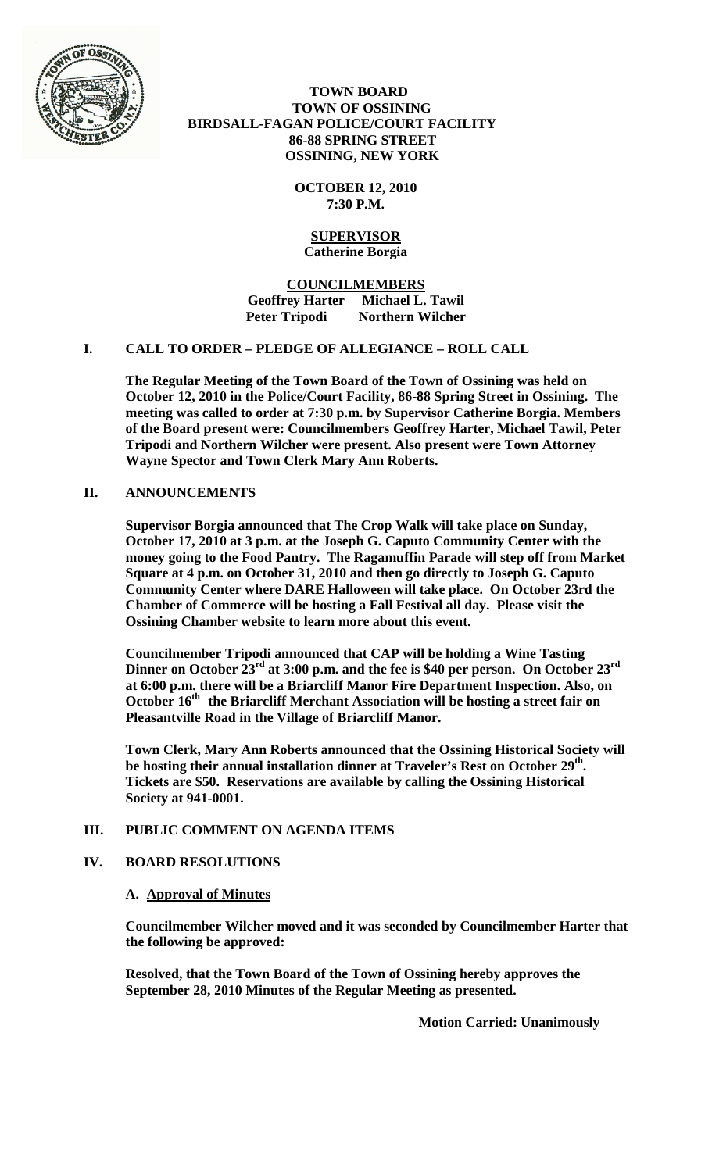

## **TOWN BOARD TOWN OF OSSINING BIRDSALL-FAGAN POLICE/COURT FACILITY 86-88 SPRING STREET OSSINING, NEW YORK**

**OCTOBER 12, 2010 7:30 P.M.**

## **SUPERVISOR Catherine Borgia**

**COUNCILMEMBERS Geoffrey Harter Michael L. Tawil Peter Tripodi Northern Wilcher**

# **I. CALL TO ORDER – PLEDGE OF ALLEGIANCE – ROLL CALL**

**The Regular Meeting of the Town Board of the Town of Ossining was held on October 12, 2010 in the Police/Court Facility, 86-88 Spring Street in Ossining. The meeting was called to order at 7:30 p.m. by Supervisor Catherine Borgia. Members of the Board present were: Councilmembers Geoffrey Harter, Michael Tawil, Peter Tripodi and Northern Wilcher were present. Also present were Town Attorney Wayne Spector and Town Clerk Mary Ann Roberts.**

## **II. ANNOUNCEMENTS**

**Supervisor Borgia announced that The Crop Walk will take place on Sunday, October 17, 2010 at 3 p.m. at the Joseph G. Caputo Community Center with the money going to the Food Pantry. The Ragamuffin Parade will step off from Market Square at 4 p.m. on October 31, 2010 and then go directly to Joseph G. Caputo Community Center where DARE Halloween will take place. On October 23rd the Chamber of Commerce will be hosting a Fall Festival all day. Please visit the Ossining Chamber website to learn more about this event.**

**Councilmember Tripodi announced that CAP will be holding a Wine Tasting Dinner on October 23rd at 3:00 p.m. and the fee is \$40 per person. On October 23rd at 6:00 p.m. there will be a Briarcliff Manor Fire Department Inspection. Also, on October 16th the Briarcliff Merchant Association will be hosting a street fair on Pleasantville Road in the Village of Briarcliff Manor.**

**Town Clerk, Mary Ann Roberts announced that the Ossining Historical Society will be hosting their annual installation dinner at Traveler's Rest on October 29th. Tickets are \$50. Reservations are available by calling the Ossining Historical Society at 941-0001.** 

## **III. PUBLIC COMMENT ON AGENDA ITEMS**

## **IV. BOARD RESOLUTIONS**

## **A. Approval of Minutes**

**Councilmember Wilcher moved and it was seconded by Councilmember Harter that the following be approved:**

**Resolved, that the Town Board of the Town of Ossining hereby approves the September 28, 2010 Minutes of the Regular Meeting as presented.**

**Motion Carried: Unanimously**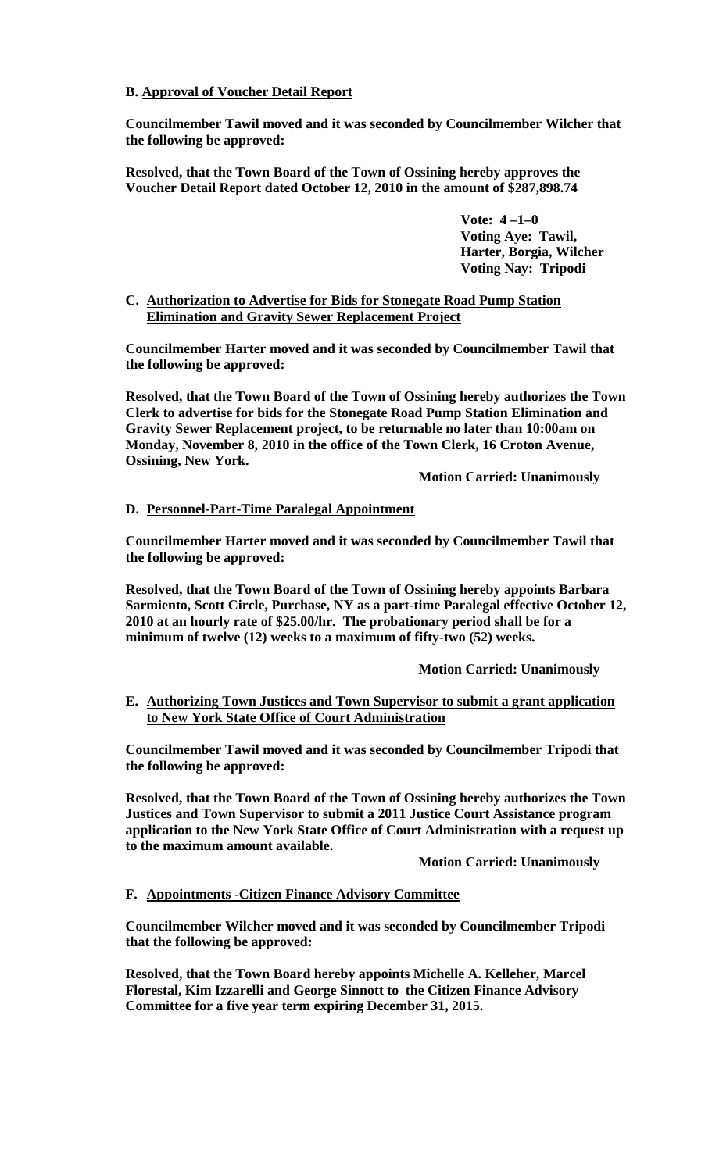# **B. Approval of Voucher Detail Report**

**Councilmember Tawil moved and it was seconded by Councilmember Wilcher that the following be approved:**

**Resolved, that the Town Board of the Town of Ossining hereby approves the Voucher Detail Report dated October 12, 2010 in the amount of \$287,898.74**

> **Vote: 4 –1–0 Voting Aye: Tawil, Harter, Borgia, Wilcher Voting Nay: Tripodi**

#### **C. Authorization to Advertise for Bids for Stonegate Road Pump Station Elimination and Gravity Sewer Replacement Project**

**Councilmember Harter moved and it was seconded by Councilmember Tawil that the following be approved:**

**Resolved, that the Town Board of the Town of Ossining hereby authorizes the Town Clerk to advertise for bids for the Stonegate Road Pump Station Elimination and Gravity Sewer Replacement project, to be returnable no later than 10:00am on Monday, November 8, 2010 in the office of the Town Clerk, 16 Croton Avenue, Ossining, New York.**

**Motion Carried: Unanimously**

# **D. Personnel-Part-Time Paralegal Appointment**

**Councilmember Harter moved and it was seconded by Councilmember Tawil that the following be approved:**

**Resolved, that the Town Board of the Town of Ossining hereby appoints Barbara Sarmiento, Scott Circle, Purchase, NY as a part-time Paralegal effective October 12, 2010 at an hourly rate of \$25.00/hr. The probationary period shall be for a minimum of twelve (12) weeks to a maximum of fifty-two (52) weeks.**

## **Motion Carried: Unanimously**

**E. Authorizing Town Justices and Town Supervisor to submit a grant application to New York State Office of Court Administration**

**Councilmember Tawil moved and it was seconded by Councilmember Tripodi that the following be approved:**

**Resolved, that the Town Board of the Town of Ossining hereby authorizes the Town Justices and Town Supervisor to submit a 2011 Justice Court Assistance program application to the New York State Office of Court Administration with a request up to the maximum amount available.**

**Motion Carried: Unanimously**

**F. Appointments -Citizen Finance Advisory Committee** 

**Councilmember Wilcher moved and it was seconded by Councilmember Tripodi that the following be approved:**

**Resolved, that the Town Board hereby appoints Michelle A. Kelleher, Marcel Florestal, Kim Izzarelli and George Sinnott to the Citizen Finance Advisory Committee for a five year term expiring December 31, 2015.**